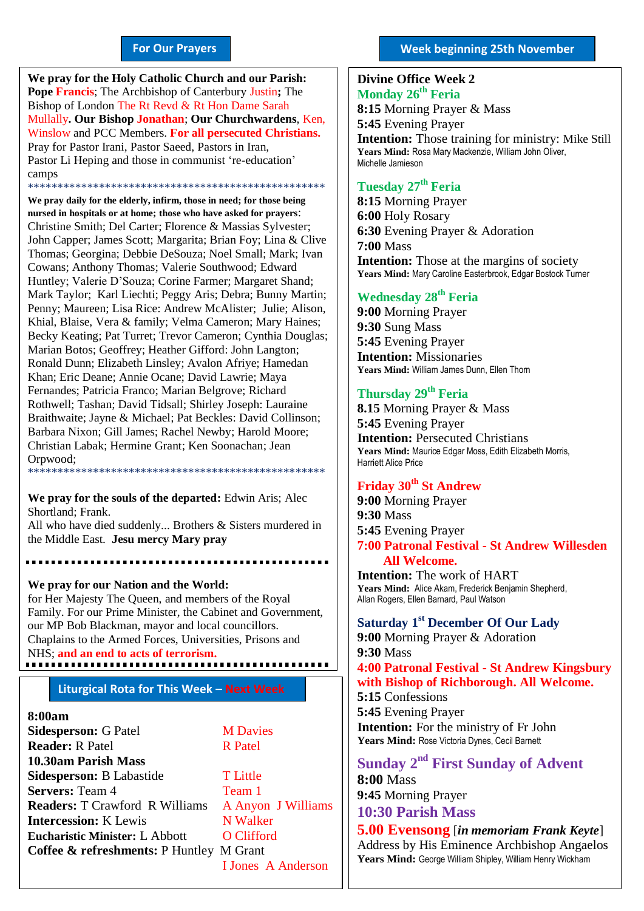#### **For Our Prayers**

arted Mullally**. Our Bishop Jonathan**; **Our Churchwardens**, Ken, **We pray for the Holy Catholic Church and our Parish: Pope Francis**; The Archbishop of Canterbury Justin**;** The Bishop of London The Rt Revd & Rt Hon Dame Sarah Winslow and PCC Members. **For all persecuted Christians.** Pray for Pastor Irani, Pastor Saeed, Pastors in Iran, Pastor Li Heping and those in communist 're-education' camps \*\*\*\*\*\*\*\*\*\*\*\*\*\*\*\*\*\*\*\*\*\*\*\*\*\*\*\*\*\*\*\*\*\*\*\*\*\*\*\*\*\*\*\*\*\*\*\*\*\*

**We pray daily for the elderly, infirm, those in need; for those being nursed in hospitals or at home; those who have asked for prayers**: Christine Smith; Del Carter; Florence & Massias Sylvester; John Capper; James Scott; Margarita; Brian Foy; Lina & Clive Thomas; Georgina; Debbie DeSouza; Noel Small; Mark; Ivan Cowans; Anthony Thomas; Valerie Southwood; Edward Huntley; Valerie D'Souza; Corine Farmer; Margaret Shand; Mark Taylor; Karl Liechti; Peggy Aris; Debra; Bunny Martin; Penny; Maureen; Lisa Rice: Andrew McAlister; Julie; Alison, Khial, Blaise, Vera & family; Velma Cameron; Mary Haines; Becky Keating; Pat Turret; Trevor Cameron; Cynthia Douglas; Marian Botos; Geoffrey; Heather Gifford: John Langton; Ronald Dunn; Elizabeth Linsley; Avalon Afriye; Hamedan Khan; Eric Deane; Annie Ocane; David Lawrie; Maya Fernandes; Patricia Franco; Marian Belgrove; Richard Rothwell; Tashan; David Tidsall; Shirley Joseph: Lauraine Braithwaite; Jayne & Michael; Pat Beckles: David Collinson; Barbara Nixon; Gill James; Rachel Newby; Harold Moore; Christian Labak; Hermine Grant; Ken Soonachan; Jean Orpwood; \*\*\*\*\*\*\*\*\*\*\*\*\*\*\*\*\*\*\*\*\*\*\*\*\*\*\*\*\*\*\*\*\*\*\*\*\*\*\*\*\*\*\*\*\*\*\*\*\*\*

**We pray for the souls of the departed:** Edwin Aris; Alec Shortland; Frank.

All who have died suddenly... Brothers & Sisters murdered in the Middle East. **Jesu mercy Mary pray**

**We pray for our Nation and the World:** for Her Majesty The Queen, and members of the Royal Family. For our Prime Minister, the Cabinet and Government, our MP Bob Blackman, mayor and local councillors. Chaplains to the Armed Forces, Universities, Prisons and NHS; **and an end to acts of terrorism.**

#### **Liturgical Rota for This Week – Next Week**

#### **8:00am**

**Sidesperson:** G Patel **M Davies Reader:** R Patel R Patel **10.30am Parish Mass Sidesperson:** B Labastide T Little **Servers:** Team 4 Team 1 **Readers:** T Crawford R Williams A Anyon J Williams **Intercession:** K Lewis N Walker **Eucharistic Minister:** L Abbott **O Clifford Coffee & refreshments:** P Huntley M Grant

I Jones A Anderson

#### **Divine Office Week 2 Monday 26th Feria 2018**

**8:15** Morning Prayer & Mass **5:45** Evening Prayer **Intention:** Those training for ministry: Mike Still **Years Mind:** Rosa Mary Mackenzie, William John Oliver, Michelle Jamieson

### **Tuesday 27 th Feria**

**8:15** Morning Prayer **6:00** Holy Rosary **6:30** Evening Prayer & Adoration **7:00** Mass **Intention:** Those at the margins of society **Years Mind:** Mary Caroline Easterbrook, Edgar Bostock Turner

### **Wednesday 28 th Feria**

**9:00** Morning Prayer **9:30** Sung Mass **5:45** Evening Prayer **Intention:** Missionaries **Years Mind:** William James Dunn, Ellen Thorn

### **Thursday 29 th Feria**

**8.15** Morning Prayer & Mass **5:45** Evening Prayer **Intention:** Persecuted Christians **Years Mind:** Maurice Edgar Moss, Edith Elizabeth Morris, Harriett Alice Price

# **Friday 30th St Andrew**

**9:00** Morning Prayer **9:30** Mass **5:45** Evening Prayer **7:00 Patronal Festival - St Andrew Willesden All Welcome.**

**Intention:** The work of HART **Years Mind:** Alice Akam, Frederick Benjamin Shepherd, Allan Rogers, Ellen Barnard, Paul Watson

## **Saturday 1 st December Of Our Lady**

**9:00** Morning Prayer & Adoration **9:30** Mass **4:00 Patronal Festival - St Andrew Kingsbury with Bishop of Richborough. All Welcome. 5:15** Confessions **5:45** Evening Prayer **Intention:** For the ministry of Fr John

**Years Mind:** Rose Victoria Dynes, Cecil Barnett

**Sunday 2 nd First Sunday of Advent 8:00** Mass **9:45** Morning Prayer

**10:30 Parish Mass** 

**5.00 Evensong** [*in memoriam Frank Keyte*] Address by His Eminence Archbishop Angaelos **Years Mind:** George William Shipley, William Henry Wickham